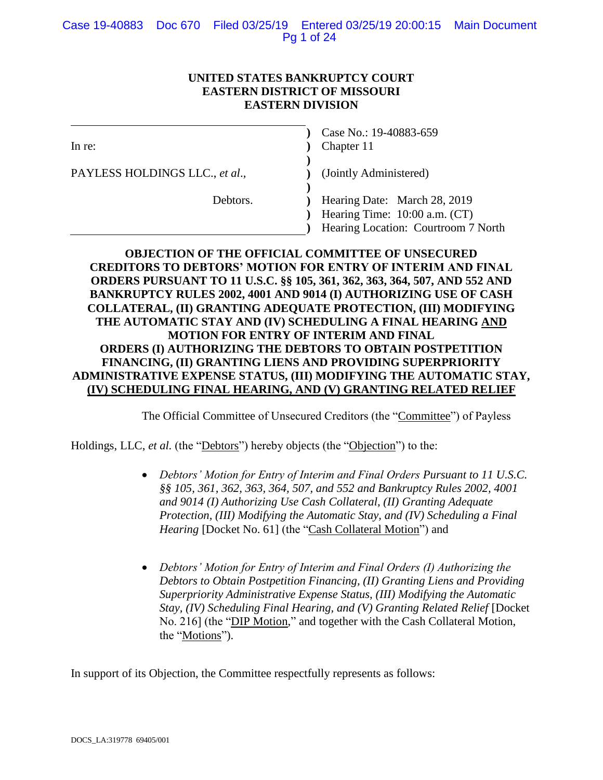# **UNITED STATES BANKRUPTCY COURT EASTERN DISTRICT OF MISSOURI EASTERN DIVISION**

| In re:                         | Case No.: 19-40883-659<br>Chapter 11                              |
|--------------------------------|-------------------------------------------------------------------|
| PAYLESS HOLDINGS LLC., et al., | (Jointly Administered)                                            |
| Debtors.                       | Hearing Date: March 28, 2019<br>Hearing Time: $10:00$ a.m. $(CT)$ |
|                                | Hearing Location: Courtroom 7 North                               |

# **OBJECTION OF THE OFFICIAL COMMITTEE OF UNSECURED CREDITORS TO DEBTORS' MOTION FOR ENTRY OF INTERIM AND FINAL ORDERS PURSUANT TO 11 U.S.C. §§ 105, 361, 362, 363, 364, 507, AND 552 AND BANKRUPTCY RULES 2002, 4001 AND 9014 (I) AUTHORIZING USE OF CASH COLLATERAL, (II) GRANTING ADEQUATE PROTECTION, (III) MODIFYING THE AUTOMATIC STAY AND (IV) SCHEDULING A FINAL HEARING AND MOTION FOR ENTRY OF INTERIM AND FINAL ORDERS (I) AUTHORIZING THE DEBTORS TO OBTAIN POSTPETITION FINANCING, (II) GRANTING LIENS AND PROVIDING SUPERPRIORITY ADMINISTRATIVE EXPENSE STATUS, (III) MODIFYING THE AUTOMATIC STAY, (IV) SCHEDULING FINAL HEARING, AND (V) GRANTING RELATED RELIEF**

The Official Committee of Unsecured Creditors (the "Committee") of Payless

Holdings, LLC, *et al.* (the "Debtors") hereby objects (the "Objection") to the:

- *Debtors' Motion for Entry of Interim and Final Orders Pursuant to 11 U.S.C. §§ 105, 361, 362, 363, 364, 507, and 552 and Bankruptcy Rules 2002, 4001 and 9014 (I) Authorizing Use Cash Collateral, (II) Granting Adequate Protection, (III) Modifying the Automatic Stay, and (IV) Scheduling a Final Hearing* [Docket No. 61] (the "Cash Collateral Motion") and
- Debtors' Motion for Entry of Interim and Final Orders (I) Authorizing the *Debtors to Obtain Postpetition Financing, (II) Granting Liens and Providing Superpriority Administrative Expense Status, (III) Modifying the Automatic Stay, (IV) Scheduling Final Hearing, and (V) Granting Related Relief* [Docket] No. 216] (the "DIP Motion," and together with the Cash Collateral Motion, the "Motions").

In support of its Objection, the Committee respectfully represents as follows: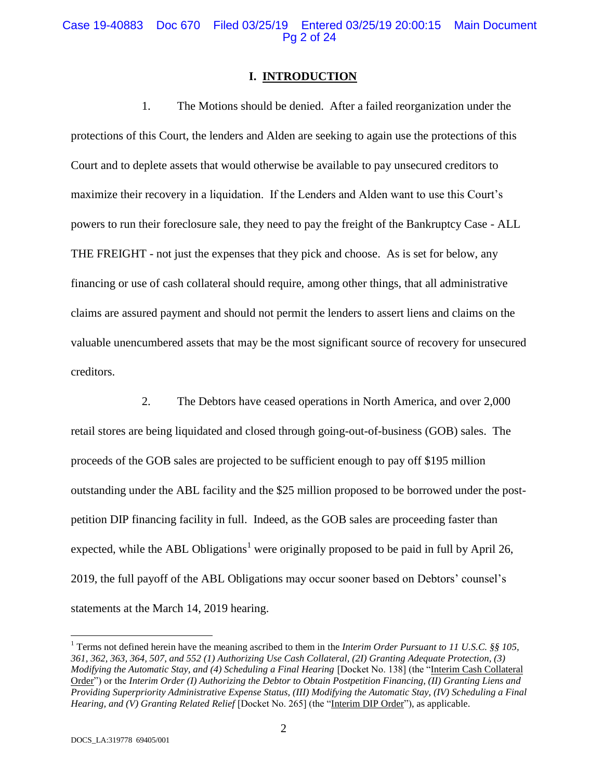#### Case 19-40883 Doc 670 Filed 03/25/19 Entered 03/25/19 20:00:15 Main Document Pg 2 of 24

#### **I.****INTRODUCTION**

1. The Motions should be denied. After a failed reorganization under the protections of this Court, the lenders and Alden are seeking to again use the protections of this Court and to deplete assets that would otherwise be available to pay unsecured creditors to maximize their recovery in a liquidation. If the Lenders and Alden want to use this Court's powers to run their foreclosure sale, they need to pay the freight of the Bankruptcy Case - ALL THE FREIGHT - not just the expenses that they pick and choose. As is set for below, any financing or use of cash collateral should require, among other things, that all administrative claims are assured payment and should not permit the lenders to assert liens and claims on the valuable unencumbered assets that may be the most significant source of recovery for unsecured creditors.

2. The Debtors have ceased operations in North America, and over 2,000 retail stores are being liquidated and closed through going-out-of-business (GOB) sales. The proceeds of the GOB sales are projected to be sufficient enough to pay off \$195 million outstanding under the ABL facility and the \$25 million proposed to be borrowed under the postpetition DIP financing facility in full. Indeed, as the GOB sales are proceeding faster than expected, while the ABL Obligations<sup>1</sup> were originally proposed to be paid in full by April 26, 2019, the full payoff of the ABL Obligations may occur sooner based on Debtors' counsel's statements at the March 14, 2019 hearing.

 $\overline{a}$ 

<sup>1</sup> Terms not defined herein have the meaning ascribed to them in the *Interim Order Pursuant to 11 U.S.C. §§ 105, 361, 362, 363, 364, 507, and 552 (1) Authorizing Use Cash Collateral, (2I) Granting Adequate Protection, (3) Modifying the Automatic Stay, and (4) Scheduling a Final Hearing* [Docket No. 138] (the "Interim Cash Collateral Order") or the *Interim Order (I) Authorizing the Debtor to Obtain Postpetition Financing, (II) Granting Liens and Providing Superpriority Administrative Expense Status, (III) Modifying the Automatic Stay, (IV) Scheduling a Final Hearing, and (V) Granting Related Relief* [Docket No. 265] (the "Interim DIP Order"), as applicable.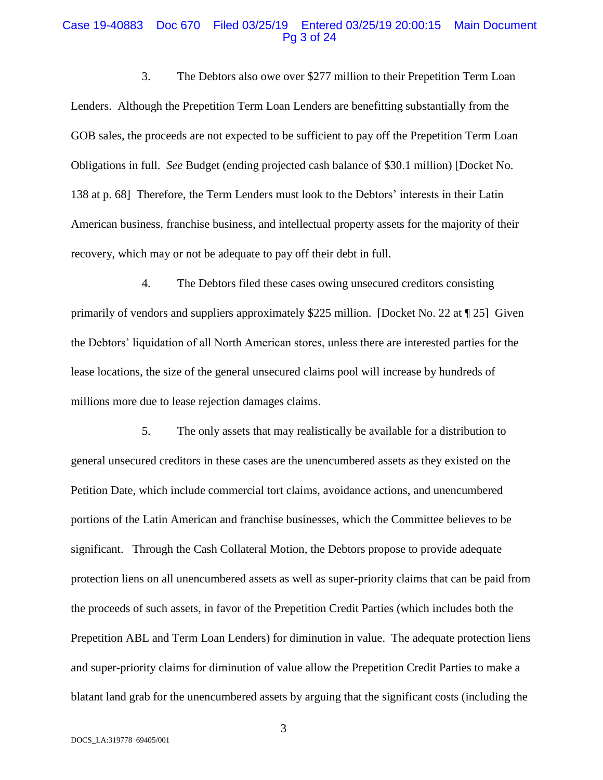#### Case 19-40883 Doc 670 Filed 03/25/19 Entered 03/25/19 20:00:15 Main Document Pg 3 of 24

3. The Debtors also owe over \$277 million to their Prepetition Term Loan Lenders. Although the Prepetition Term Loan Lenders are benefitting substantially from the GOB sales, the proceeds are not expected to be sufficient to pay off the Prepetition Term Loan Obligations in full. *See* Budget (ending projected cash balance of \$30.1 million) [Docket No. 138 at p. 68] Therefore, the Term Lenders must look to the Debtors' interests in their Latin American business, franchise business, and intellectual property assets for the majority of their recovery, which may or not be adequate to pay off their debt in full.

4. The Debtors filed these cases owing unsecured creditors consisting primarily of vendors and suppliers approximately \$225 million. [Docket No. 22 at ¶ 25] Given the Debtors' liquidation of all North American stores, unless there are interested parties for the lease locations, the size of the general unsecured claims pool will increase by hundreds of millions more due to lease rejection damages claims.

5. The only assets that may realistically be available for a distribution to general unsecured creditors in these cases are the unencumbered assets as they existed on the Petition Date, which include commercial tort claims, avoidance actions, and unencumbered portions of the Latin American and franchise businesses, which the Committee believes to be significant. Through the Cash Collateral Motion, the Debtors propose to provide adequate protection liens on all unencumbered assets as well as super-priority claims that can be paid from the proceeds of such assets, in favor of the Prepetition Credit Parties (which includes both the Prepetition ABL and Term Loan Lenders) for diminution in value. The adequate protection liens and super-priority claims for diminution of value allow the Prepetition Credit Parties to make a blatant land grab for the unencumbered assets by arguing that the significant costs (including the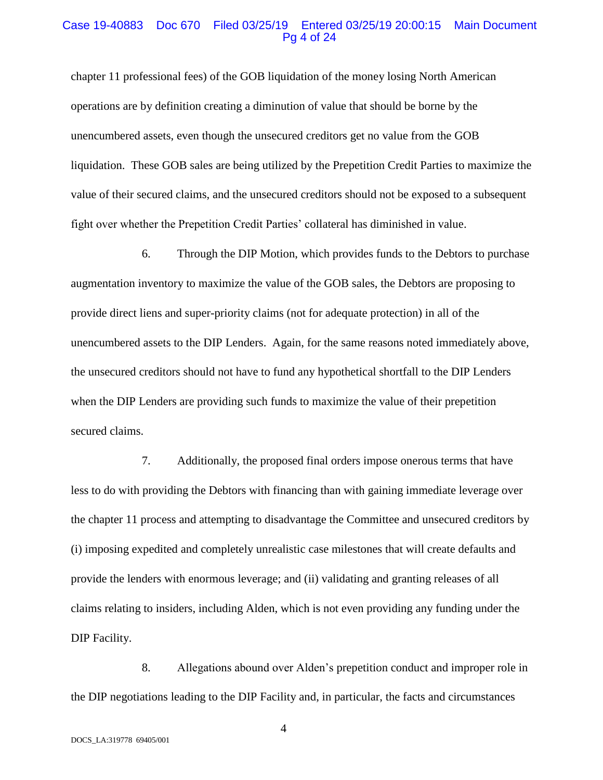#### Case 19-40883 Doc 670 Filed 03/25/19 Entered 03/25/19 20:00:15 Main Document Pg 4 of 24

chapter 11 professional fees) of the GOB liquidation of the money losing North American operations are by definition creating a diminution of value that should be borne by the unencumbered assets, even though the unsecured creditors get no value from the GOB liquidation. These GOB sales are being utilized by the Prepetition Credit Parties to maximize the value of their secured claims, and the unsecured creditors should not be exposed to a subsequent fight over whether the Prepetition Credit Parties' collateral has diminished in value.

6. Through the DIP Motion, which provides funds to the Debtors to purchase augmentation inventory to maximize the value of the GOB sales, the Debtors are proposing to provide direct liens and super-priority claims (not for adequate protection) in all of the unencumbered assets to the DIP Lenders. Again, for the same reasons noted immediately above, the unsecured creditors should not have to fund any hypothetical shortfall to the DIP Lenders when the DIP Lenders are providing such funds to maximize the value of their prepetition secured claims.

7. Additionally, the proposed final orders impose onerous terms that have less to do with providing the Debtors with financing than with gaining immediate leverage over the chapter 11 process and attempting to disadvantage the Committee and unsecured creditors by (i) imposing expedited and completely unrealistic case milestones that will create defaults and provide the lenders with enormous leverage; and (ii) validating and granting releases of all claims relating to insiders, including Alden, which is not even providing any funding under the DIP Facility.

8. Allegations abound over Alden's prepetition conduct and improper role in the DIP negotiations leading to the DIP Facility and, in particular, the facts and circumstances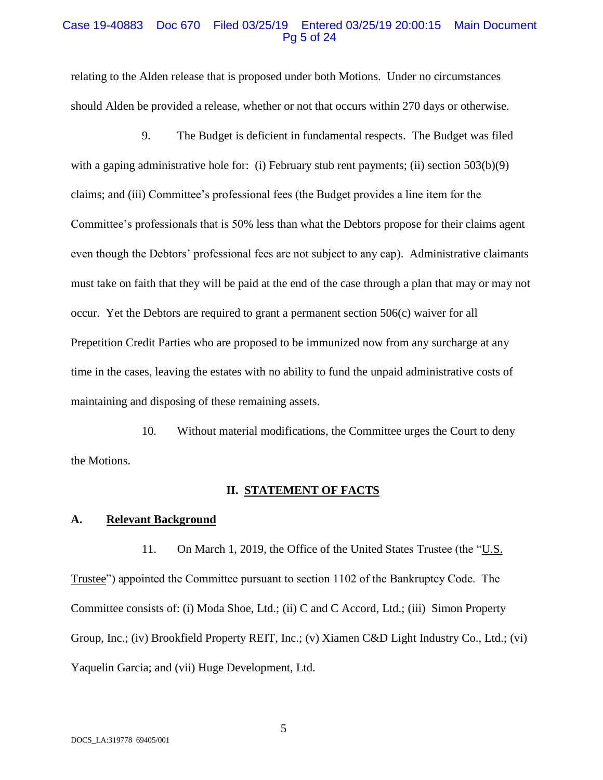#### Case 19-40883 Doc 670 Filed 03/25/19 Entered 03/25/19 20:00:15 Main Document Pg 5 of 24

relating to the Alden release that is proposed under both Motions. Under no circumstances should Alden be provided a release, whether or not that occurs within 270 days or otherwise.

9. The Budget is deficient in fundamental respects. The Budget was filed with a gaping administrative hole for: (i) February stub rent payments; (ii) section 503(b)(9) claims; and (iii) Committee's professional fees (the Budget provides a line item for the Committee's professionals that is 50% less than what the Debtors propose for their claims agent even though the Debtors' professional fees are not subject to any cap). Administrative claimants must take on faith that they will be paid at the end of the case through a plan that may or may not occur. Yet the Debtors are required to grant a permanent section 506(c) waiver for all Prepetition Credit Parties who are proposed to be immunized now from any surcharge at any time in the cases, leaving the estates with no ability to fund the unpaid administrative costs of maintaining and disposing of these remaining assets.

10. Without material modifications, the Committee urges the Court to deny the Motions.

#### **II. STATEMENT OF FACTS**

#### **A. Relevant Background**

11. On March 1, 2019, the Office of the United States Trustee (the "U.S. Trustee") appointed the Committee pursuant to section 1102 of the Bankruptcy Code. The Committee consists of: (i) Moda Shoe, Ltd.; (ii) C and C Accord, Ltd.; (iii) Simon Property Group, Inc.; (iv) Brookfield Property REIT, Inc.; (v) Xiamen C&D Light Industry Co., Ltd.; (vi) Yaquelin Garcia; and (vii) Huge Development, Ltd.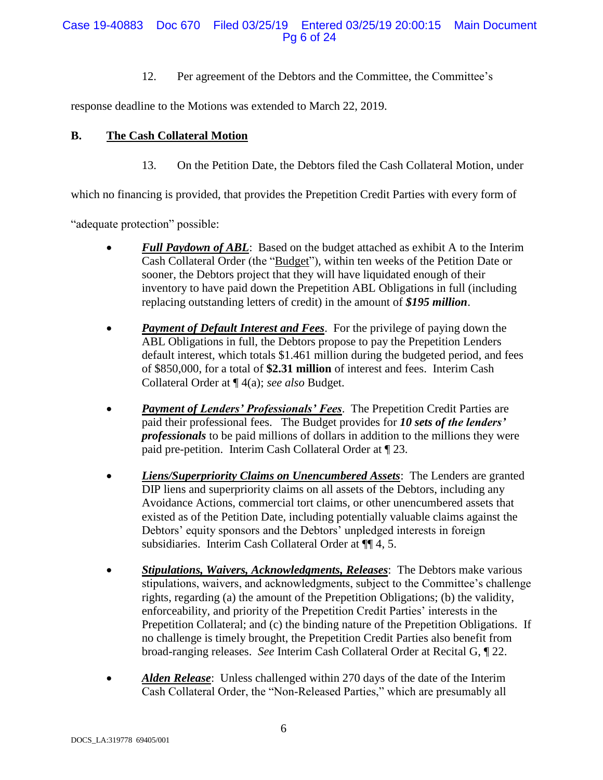# Case 19-40883 Doc 670 Filed 03/25/19 Entered 03/25/19 20:00:15 Main Document Pg 6 of 24

12. Per agreement of the Debtors and the Committee, the Committee's

response deadline to the Motions was extended to March 22, 2019.

# **B. The Cash Collateral Motion**

13. On the Petition Date, the Debtors filed the Cash Collateral Motion, under

which no financing is provided, that provides the Prepetition Credit Parties with every form of

"adequate protection" possible:

- *Full Paydown of ABL*: Based on the budget attached as exhibit A to the Interim Cash Collateral Order (the "Budget"), within ten weeks of the Petition Date or sooner, the Debtors project that they will have liquidated enough of their inventory to have paid down the Prepetition ABL Obligations in full (including replacing outstanding letters of credit) in the amount of *\$195 million*.
- *Payment of Default Interest and Fees*. For the privilege of paying down the ABL Obligations in full, the Debtors propose to pay the Prepetition Lenders default interest, which totals \$1.461 million during the budgeted period, and fees of \$850,000, for a total of **\$2.31 million** of interest and fees. Interim Cash Collateral Order at ¶ 4(a); *see also* Budget.
- *Payment of Lenders' Professionals' Fees*. The Prepetition Credit Parties are paid their professional fees. The Budget provides for *10 sets of the lenders' professionals* to be paid millions of dollars in addition to the millions they were paid pre-petition. Interim Cash Collateral Order at ¶ 23.
- *Liens/Superpriority Claims on Unencumbered Assets*: The Lenders are granted DIP liens and superpriority claims on all assets of the Debtors, including any Avoidance Actions, commercial tort claims, or other unencumbered assets that existed as of the Petition Date, including potentially valuable claims against the Debtors' equity sponsors and the Debtors' unpledged interests in foreign subsidiaries. Interim Cash Collateral Order at  $\P$  4, 5.
- *Stipulations, Waivers, Acknowledgments, Releases*: The Debtors make various stipulations, waivers, and acknowledgments, subject to the Committee's challenge rights, regarding (a) the amount of the Prepetition Obligations; (b) the validity, enforceability, and priority of the Prepetition Credit Parties' interests in the Prepetition Collateral; and (c) the binding nature of the Prepetition Obligations. If no challenge is timely brought, the Prepetition Credit Parties also benefit from broad-ranging releases. *See* Interim Cash Collateral Order at Recital G, ¶ 22.
- *Alden Release*: Unless challenged within 270 days of the date of the Interim Cash Collateral Order, the "Non-Released Parties," which are presumably all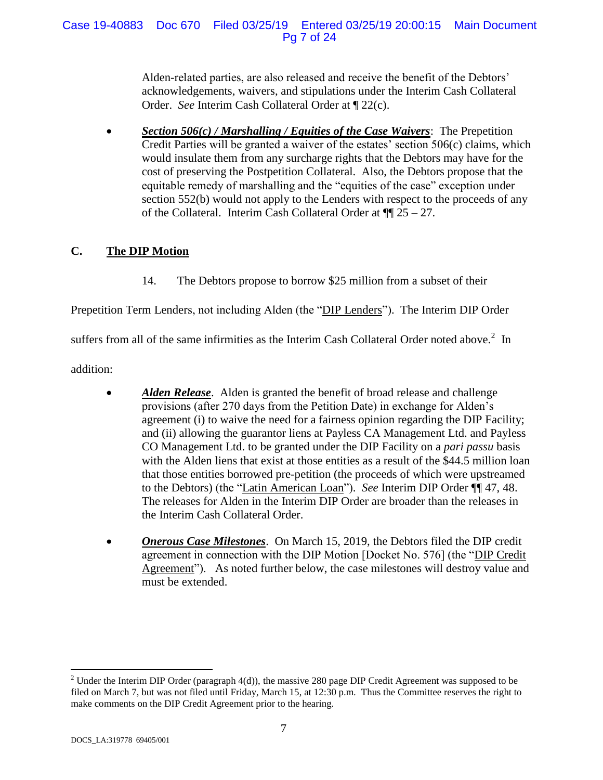Alden-related parties, are also released and receive the benefit of the Debtors' acknowledgements, waivers, and stipulations under the Interim Cash Collateral Order. *See* Interim Cash Collateral Order at ¶ 22(c).

 *Section 506(c) / Marshalling / Equities of the Case Waivers*: The Prepetition Credit Parties will be granted a waiver of the estates' section 506(c) claims, which would insulate them from any surcharge rights that the Debtors may have for the cost of preserving the Postpetition Collateral. Also, the Debtors propose that the equitable remedy of marshalling and the "equities of the case" exception under section 552(b) would not apply to the Lenders with respect to the proceeds of any of the Collateral. Interim Cash Collateral Order at  $\P$  25 – 27.

# **C. The DIP Motion**

14. The Debtors propose to borrow \$25 million from a subset of their

Prepetition Term Lenders, not including Alden (the "DIP Lenders"). The Interim DIP Order

suffers from all of the same infirmities as the Interim Cash Collateral Order noted above.<sup>2</sup> In

addition:

- *Alden Release.* Alden is granted the benefit of broad release and challenge provisions (after 270 days from the Petition Date) in exchange for Alden's agreement (i) to waive the need for a fairness opinion regarding the DIP Facility; and (ii) allowing the guarantor liens at Payless CA Management Ltd. and Payless CO Management Ltd. to be granted under the DIP Facility on a *pari passu* basis with the Alden liens that exist at those entities as a result of the \$44.5 million loan that those entities borrowed pre-petition (the proceeds of which were upstreamed to the Debtors) (the "Latin American Loan"). *See* Interim DIP Order ¶¶ 47, 48. The releases for Alden in the Interim DIP Order are broader than the releases in the Interim Cash Collateral Order.
- *Onerous Case Milestones*. On March 15, 2019, the Debtors filed the DIP credit agreement in connection with the DIP Motion [Docket No. 576] (the "DIP Credit Agreement"). As noted further below, the case milestones will destroy value and must be extended.

 $\overline{a}$ <sup>2</sup> Under the Interim DIP Order (paragraph 4(d)), the massive 280 page DIP Credit Agreement was supposed to be filed on March 7, but was not filed until Friday, March 15, at 12:30 p.m. Thus the Committee reserves the right to make comments on the DIP Credit Agreement prior to the hearing.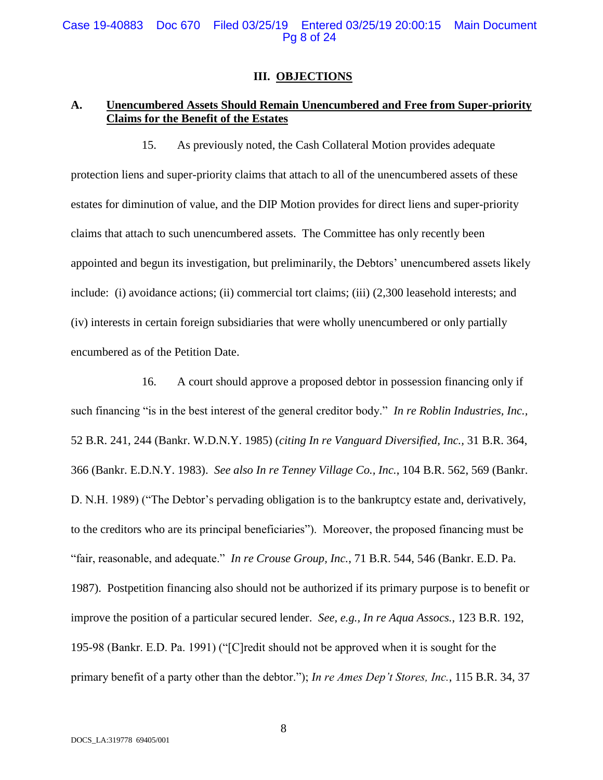#### Case 19-40883 Doc 670 Filed 03/25/19 Entered 03/25/19 20:00:15 Main Document Pg 8 of 24

#### **III. OBJECTIONS**

# **A. Unencumbered Assets Should Remain Unencumbered and Free from Super-priority Claims for the Benefit of the Estates**

15. As previously noted, the Cash Collateral Motion provides adequate protection liens and super-priority claims that attach to all of the unencumbered assets of these estates for diminution of value, and the DIP Motion provides for direct liens and super-priority claims that attach to such unencumbered assets. The Committee has only recently been appointed and begun its investigation, but preliminarily, the Debtors' unencumbered assets likely include: (i) avoidance actions; (ii) commercial tort claims; (iii) (2,300 leasehold interests; and (iv) interests in certain foreign subsidiaries that were wholly unencumbered or only partially encumbered as of the Petition Date.

16. A court should approve a proposed debtor in possession financing only if such financing "is in the best interest of the general creditor body." *In re Roblin Industries, Inc.,* 52 B.R. 241, 244 (Bankr. W.D.N.Y. 1985) (*citing In re Vanguard Diversified, Inc.,* 31 B.R. 364, 366 (Bankr. E.D.N.Y. 1983). *See also In re Tenney Village Co., Inc.*, 104 B.R. 562, 569 (Bankr. D. N.H. 1989) ("The Debtor's pervading obligation is to the bankruptcy estate and, derivatively, to the creditors who are its principal beneficiaries"). Moreover, the proposed financing must be "fair, reasonable, and adequate." *In re Crouse Group, Inc.*, 71 B.R. 544, 546 (Bankr. E.D. Pa. 1987). Postpetition financing also should not be authorized if its primary purpose is to benefit or improve the position of a particular secured lender. *See, e.g., In re Aqua Assocs.*, 123 B.R. 192, 195-98 (Bankr. E.D. Pa. 1991) ("[C]redit should not be approved when it is sought for the primary benefit of a party other than the debtor."); *In re Ames Dep't Stores, Inc.*, 115 B.R. 34, 37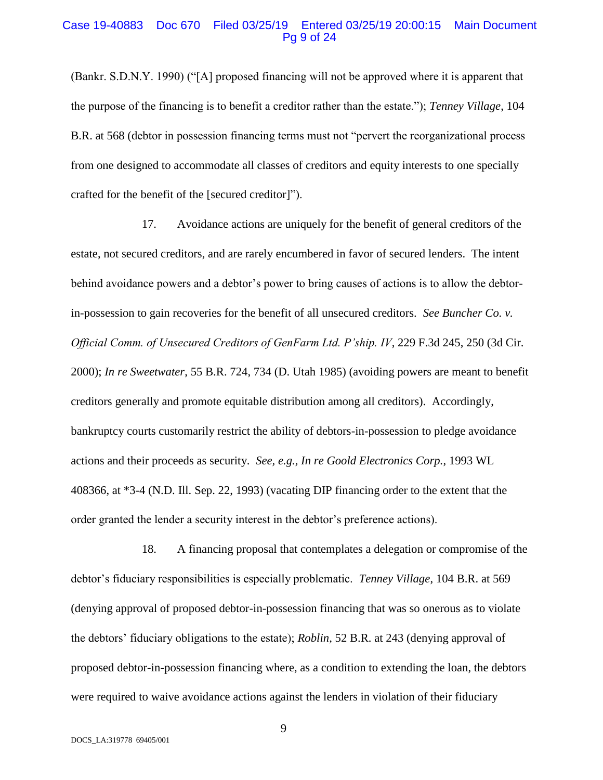#### Case 19-40883 Doc 670 Filed 03/25/19 Entered 03/25/19 20:00:15 Main Document Pg 9 of 24

(Bankr. S.D.N.Y. 1990) ("[A] proposed financing will not be approved where it is apparent that the purpose of the financing is to benefit a creditor rather than the estate."); *Tenney Village*, 104 B.R. at 568 (debtor in possession financing terms must not "pervert the reorganizational process from one designed to accommodate all classes of creditors and equity interests to one specially crafted for the benefit of the [secured creditor]").

17. Avoidance actions are uniquely for the benefit of general creditors of the estate, not secured creditors, and are rarely encumbered in favor of secured lenders. The intent behind avoidance powers and a debtor's power to bring causes of actions is to allow the debtorin-possession to gain recoveries for the benefit of all unsecured creditors. *See Buncher Co. v. Official Comm. of Unsecured Creditors of GenFarm Ltd. P'ship. IV*, 229 F.3d 245, 250 (3d Cir. 2000); *In re Sweetwater*, 55 B.R. 724, 734 (D. Utah 1985) (avoiding powers are meant to benefit creditors generally and promote equitable distribution among all creditors). Accordingly, bankruptcy courts customarily restrict the ability of debtors-in-possession to pledge avoidance actions and their proceeds as security. *See, e.g., In re Goold Electronics Corp.*, 1993 WL 408366, at \*3-4 (N.D. Ill. Sep. 22, 1993) (vacating DIP financing order to the extent that the order granted the lender a security interest in the debtor's preference actions).

18. A financing proposal that contemplates a delegation or compromise of the debtor's fiduciary responsibilities is especially problematic. *Tenney Village*, 104 B.R. at 569 (denying approval of proposed debtor-in-possession financing that was so onerous as to violate the debtors' fiduciary obligations to the estate); *Roblin*, 52 B.R. at 243 (denying approval of proposed debtor-in-possession financing where, as a condition to extending the loan, the debtors were required to waive avoidance actions against the lenders in violation of their fiduciary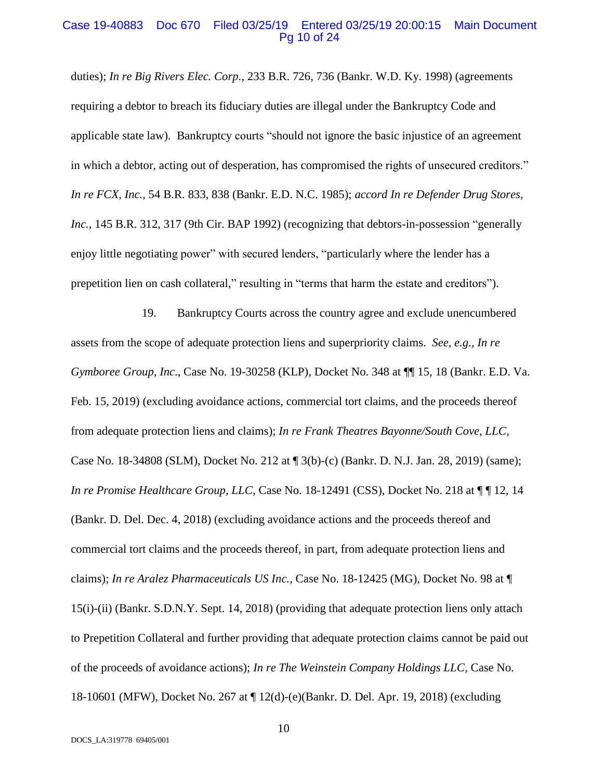#### Case 19-40883 Doc 670 Filed 03/25/19 Entered 03/25/19 20:00:15 Main Document Pg 10 of 24

duties); *In re Big Rivers Elec. Corp.*, 233 B.R. 726, 736 (Bankr. W.D. Ky. 1998) (agreements requiring a debtor to breach its fiduciary duties are illegal under the Bankruptcy Code and applicable state law). Bankruptcy courts "should not ignore the basic injustice of an agreement in which a debtor, acting out of desperation, has compromised the rights of unsecured creditors." *In re FCX, Inc.*, 54 B.R. 833, 838 (Bankr. E.D. N.C. 1985); *accord In re Defender Drug Stores, Inc.*, 145 B.R. 312, 317 (9th Cir. BAP 1992) (recognizing that debtors-in-possession "generally enjoy little negotiating power" with secured lenders, "particularly where the lender has a prepetition lien on cash collateral," resulting in "terms that harm the estate and creditors").

19. Bankruptcy Courts across the country agree and exclude unencumbered assets from the scope of adequate protection liens and superpriority claims. *See, e.g., In re Gymboree Group, Inc*., Case No. 19-30258 (KLP), Docket No. 348 at ¶¶ 15, 18 (Bankr. E.D. Va. Feb. 15, 2019) (excluding avoidance actions, commercial tort claims, and the proceeds thereof from adequate protection liens and claims); *In re Frank Theatres Bayonne/South Cove, LLC*, Case No. 18-34808 (SLM), Docket No. 212 at ¶ 3(b)-(c) (Bankr. D. N.J. Jan. 28, 2019) (same); *In re Promise Healthcare Group, LLC*, Case No. 18-12491 (CSS), Docket No. 218 at  $\P$  [12, 14] (Bankr. D. Del. Dec. 4, 2018) (excluding avoidance actions and the proceeds thereof and commercial tort claims and the proceeds thereof, in part, from adequate protection liens and claims); *In re Aralez Pharmaceuticals US Inc.*, Case No. 18-12425 (MG), Docket No. 98 at ¶ 15(i)-(ii) (Bankr. S.D.N.Y. Sept. 14, 2018) (providing that adequate protection liens only attach to Prepetition Collateral and further providing that adequate protection claims cannot be paid out of the proceeds of avoidance actions); *In re The Weinstein Company Holdings LLC*, Case No. 18-10601 (MFW), Docket No. 267 at ¶ 12(d)-(e)(Bankr. D. Del. Apr. 19, 2018) (excluding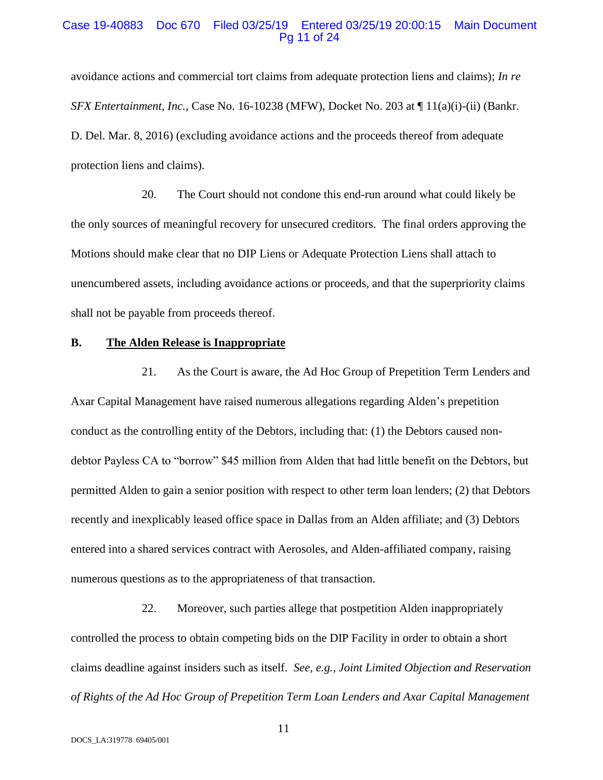#### Case 19-40883 Doc 670 Filed 03/25/19 Entered 03/25/19 20:00:15 Main Document Pg 11 of 24

avoidance actions and commercial tort claims from adequate protection liens and claims); *In re SFX Entertainment, Inc.*, Case No. 16-10238 (MFW), Docket No. 203 at ¶ 11(a)(i)-(ii) (Bankr. D. Del. Mar. 8, 2016) (excluding avoidance actions and the proceeds thereof from adequate protection liens and claims).

20. The Court should not condone this end-run around what could likely be the only sources of meaningful recovery for unsecured creditors. The final orders approving the Motions should make clear that no DIP Liens or Adequate Protection Liens shall attach to unencumbered assets, including avoidance actions or proceeds, and that the superpriority claims shall not be payable from proceeds thereof.

# **B. The Alden Release is Inappropriate**

21. As the Court is aware, the Ad Hoc Group of Prepetition Term Lenders and Axar Capital Management have raised numerous allegations regarding Alden's prepetition conduct as the controlling entity of the Debtors, including that: (1) the Debtors caused nondebtor Payless CA to "borrow" \$45 million from Alden that had little benefit on the Debtors, but permitted Alden to gain a senior position with respect to other term loan lenders; (2) that Debtors recently and inexplicably leased office space in Dallas from an Alden affiliate; and (3) Debtors entered into a shared services contract with Aerosoles, and Alden-affiliated company, raising numerous questions as to the appropriateness of that transaction.

22. Moreover, such parties allege that postpetition Alden inappropriately controlled the process to obtain competing bids on the DIP Facility in order to obtain a short claims deadline against insiders such as itself. *See, e.g., Joint Limited Objection and Reservation of Rights of the Ad Hoc Group of Prepetition Term Loan Lenders and Axar Capital Management*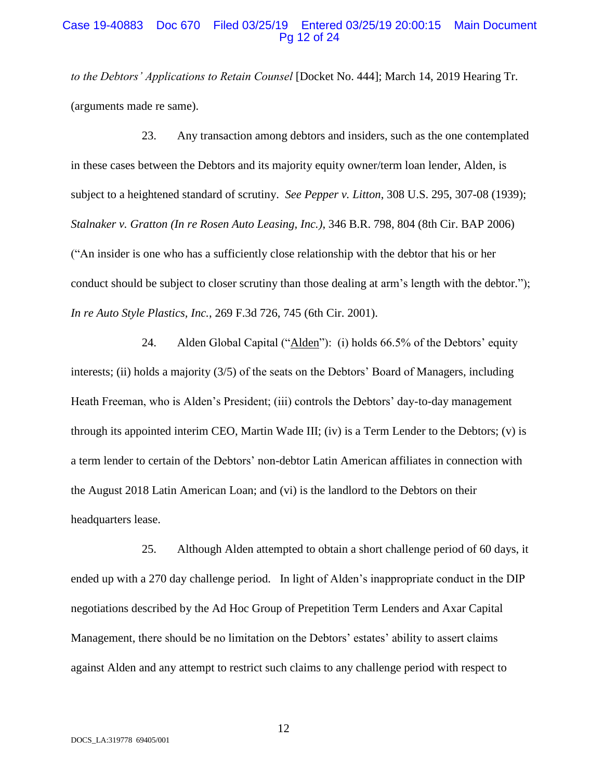#### Case 19-40883 Doc 670 Filed 03/25/19 Entered 03/25/19 20:00:15 Main Document Pg 12 of 24

*to the Debtors' Applications to Retain Counsel* [Docket No. 444]; March 14, 2019 Hearing Tr. (arguments made re same).

23. Any transaction among debtors and insiders, such as the one contemplated in these cases between the Debtors and its majority equity owner/term loan lender, Alden, is subject to a heightened standard of scrutiny. *See Pepper v. Litton*, 308 U.S. 295, 307-08 (1939); *Stalnaker v. Gratton (In re Rosen Auto Leasing, Inc.)*, 346 B.R. 798, 804 (8th Cir. BAP 2006) ("An insider is one who has a sufficiently close relationship with the debtor that his or her conduct should be subject to closer scrutiny than those dealing at arm's length with the debtor."); *In re Auto Style Plastics, Inc.*, 269 F.3d 726, 745 (6th Cir. 2001).

24. Alden Global Capital ("Alden"): (i) holds 66.5% of the Debtors' equity interests; (ii) holds a majority (3/5) of the seats on the Debtors' Board of Managers, including Heath Freeman, who is Alden's President; (iii) controls the Debtors' day-to-day management through its appointed interim CEO, Martin Wade III; (iv) is a Term Lender to the Debtors; (v) is a term lender to certain of the Debtors' non-debtor Latin American affiliates in connection with the August 2018 Latin American Loan; and (vi) is the landlord to the Debtors on their headquarters lease.

25. Although Alden attempted to obtain a short challenge period of 60 days, it ended up with a 270 day challenge period. In light of Alden's inappropriate conduct in the DIP negotiations described by the Ad Hoc Group of Prepetition Term Lenders and Axar Capital Management, there should be no limitation on the Debtors' estates' ability to assert claims against Alden and any attempt to restrict such claims to any challenge period with respect to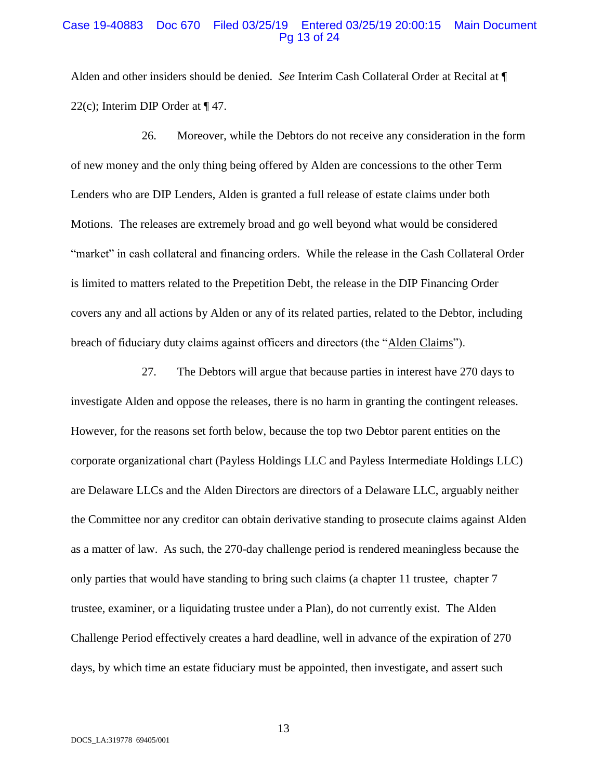#### Case 19-40883 Doc 670 Filed 03/25/19 Entered 03/25/19 20:00:15 Main Document Pg 13 of 24

Alden and other insiders should be denied. *See* Interim Cash Collateral Order at Recital at ¶ 22(c); Interim DIP Order at ¶ 47.

26. Moreover, while the Debtors do not receive any consideration in the form of new money and the only thing being offered by Alden are concessions to the other Term Lenders who are DIP Lenders, Alden is granted a full release of estate claims under both Motions. The releases are extremely broad and go well beyond what would be considered "market" in cash collateral and financing orders. While the release in the Cash Collateral Order is limited to matters related to the Prepetition Debt, the release in the DIP Financing Order covers any and all actions by Alden or any of its related parties, related to the Debtor, including breach of fiduciary duty claims against officers and directors (the "Alden Claims").

27. The Debtors will argue that because parties in interest have 270 days to investigate Alden and oppose the releases, there is no harm in granting the contingent releases. However, for the reasons set forth below, because the top two Debtor parent entities on the corporate organizational chart (Payless Holdings LLC and Payless Intermediate Holdings LLC) are Delaware LLCs and the Alden Directors are directors of a Delaware LLC, arguably neither the Committee nor any creditor can obtain derivative standing to prosecute claims against Alden as a matter of law. As such, the 270-day challenge period is rendered meaningless because the only parties that would have standing to bring such claims (a chapter 11 trustee, chapter 7 trustee, examiner, or a liquidating trustee under a Plan), do not currently exist. The Alden Challenge Period effectively creates a hard deadline, well in advance of the expiration of 270 days, by which time an estate fiduciary must be appointed, then investigate, and assert such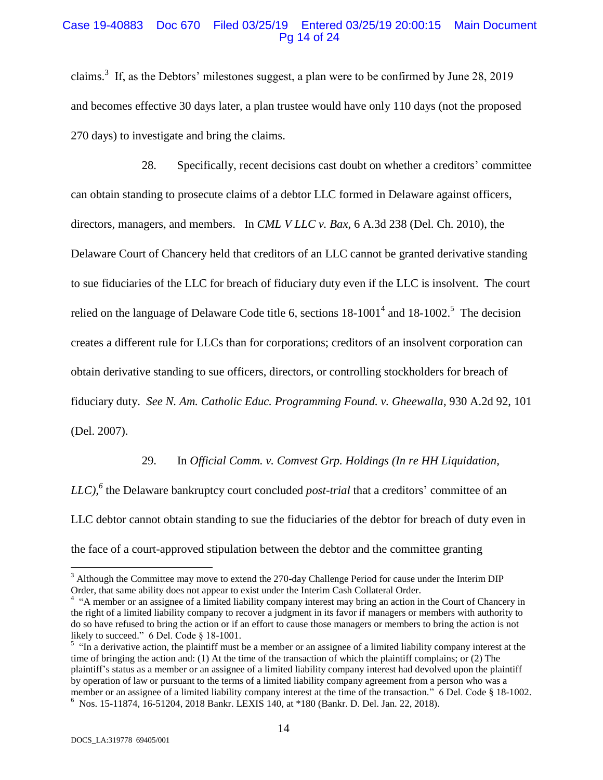#### Case 19-40883 Doc 670 Filed 03/25/19 Entered 03/25/19 20:00:15 Main Document Pg 14 of 24

claims.<sup>3</sup> If, as the Debtors' milestones suggest, a plan were to be confirmed by June 28, 2019 and becomes effective 30 days later, a plan trustee would have only 110 days (not the proposed 270 days) to investigate and bring the claims.

28. Specifically, recent decisions cast doubt on whether a creditors' committee can obtain standing to prosecute claims of a debtor LLC formed in Delaware against officers, directors, managers, and members. In *CML V LLC v. Bax*, 6 A.3d 238 (Del. Ch. 2010), the Delaware Court of Chancery held that creditors of an LLC cannot be granted derivative standing to sue fiduciaries of the LLC for breach of fiduciary duty even if the LLC is insolvent. The court relied on the language of Delaware Code title 6, sections  $18-1001^4$  and  $18-1002.^5$  The decision creates a different rule for LLCs than for corporations; creditors of an insolvent corporation can obtain derivative standing to sue officers, directors, or controlling stockholders for breach of fiduciary duty. *See N. Am. Catholic Educ. Programming Found. v. Gheewalla*, 930 A.2d 92, 101 (Del. 2007).

# 29. In *Official Comm. v. Comvest Grp. Holdings (In re HH [Liquidation,](https://advance.lexis.com/api/document/collection/cases/id/5RG5-DP01-JPGX-S001-00000-00?page=180&reporter=1210&cite=2018%20Bankr.%20LEXIS%20140&context=1000516)*

*[LLC\),](https://advance.lexis.com/api/document/collection/cases/id/5RG5-DP01-JPGX-S001-00000-00?page=180&reporter=1210&cite=2018%20Bankr.%20LEXIS%20140&context=1000516)<sup>6</sup>* the Delaware bankruptcy court concluded *post-trial* that a creditors' committee of an LLC debtor cannot obtain standing to sue the fiduciaries of the debtor for breach of duty even in the face of a court-approved stipulation between the debtor and the committee granting

 $\overline{a}$ 

 $3$  Although the Committee may move to extend the 270-day Challenge Period for cause under the Interim DIP Order, that same ability does not appear to exist under the Interim Cash Collateral Order.

<sup>&</sup>lt;sup>4</sup> "A member or an assignee of a limited liability company interest may bring an action in the Court of Chancery in the right of a limited liability company to recover a judgment in its favor if managers or members with authority to do so have refused to bring the action or if an effort to cause those managers or members to bring the action is not likely to succeed." 6 Del. Code § 18-1001.

 $<sup>5</sup>$  "In a derivative action, the plaintiff must be a member or an assignee of a limited liability company interest at the</sup> time of bringing the action and: (1) At the time of the transaction of which the plaintiff complains; or (2) The plaintiff's status as a member or an assignee of a limited liability company interest had devolved upon the plaintiff by operation of law or pursuant to the terms of a limited liability company agreement from a person who was a member or an assignee of a limited liability company interest at the time of the transaction." 6 Del. Code § 18-1002. 6 Nos. 15-11874, [16-51204,](https://advance.lexis.com/api/document/collection/cases/id/5RG5-DP01-JPGX-S001-00000-00?page=180&reporter=1210&cite=2018%20Bankr.%20LEXIS%20140&context=1000516) 2018 Bankr. LEXIS 140, at \*180 (Bankr. D. Del. Jan. 22, 2018).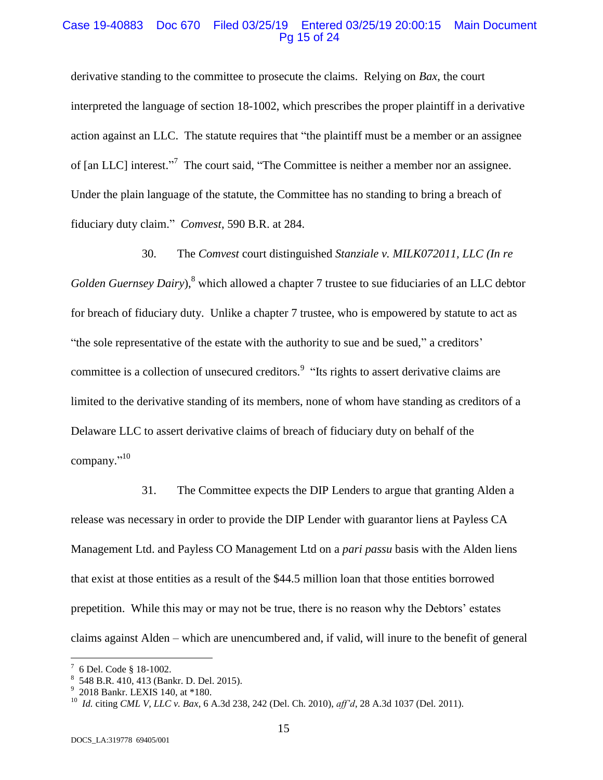#### Case 19-40883 Doc 670 Filed 03/25/19 Entered 03/25/19 20:00:15 Main Document Pg 15 of 24

derivative standing to the committee to prosecute the claims. Relying on *Bax*, the court interpreted the language of section 18-1002, which prescribes the proper plaintiff in a derivative action against an LLC. The statute requires that "the plaintiff must be a member or an assignee of [an LLC] interest."<sup>7</sup> The court said, "The Committee is neither a member nor an assignee. Under the plain language of the statute, the Committee has no standing to bring a breach of fiduciary duty claim." *Comvest*, 590 B.R. at 284.

30. The *Comvest* court distinguished *Stanziale v. MILK072011, LLC (In re Golden Guernsey Dairy*),<sup>8</sup> which allowed a chapter 7 trustee to sue fiduciaries of an LLC debtor for breach of fiduciary duty. Unlike a chapter 7 trustee, who is empowered by statute to act as "the sole representative of the estate with the authority to sue and be sued," a creditors' committee is a collection of unsecured creditors.<sup>9</sup> "Its rights to assert derivative claims are limited to the derivative standing of its members, none of whom have standing as creditors of a Delaware LLC to assert derivative claims of breach of fiduciary duty on behalf of the company."<sup>10</sup>

31. The Committee expects the DIP Lenders to argue that granting Alden a release was necessary in order to provide the DIP Lender with guarantor liens at Payless CA Management Ltd. and Payless CO Management Ltd on a *pari passu* basis with the Alden liens that exist at those entities as a result of the \$44.5 million loan that those entities borrowed prepetition. While this may or may not be true, there is no reason why the Debtors' estates claims against Alden – which are unencumbered and, if valid, will inure to the benefit of general

 $\overline{a}$ 

 $7\,$  6 Del. Code § 18-1002.

<sup>8</sup> 548 B.R. 410, 413 (Bankr. D. Del. 2015).

<sup>9</sup> 2018 Bankr. LEXIS 140, at \*180.

<sup>10</sup> *Id.* citing *CML V, LLC v. Bax*, 6 A.3d 238, 242 (Del. Ch. 2010), *aff'd*, 28 A.3d 1037 (Del. 2011).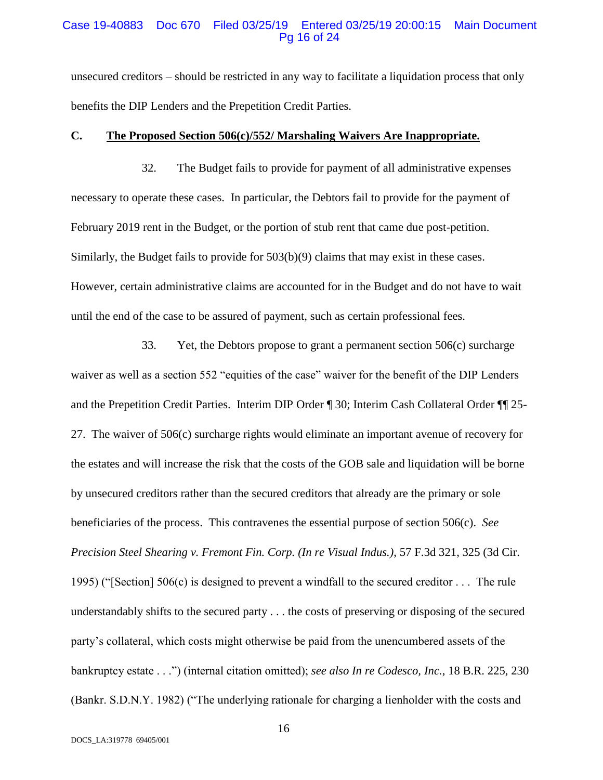### Case 19-40883 Doc 670 Filed 03/25/19 Entered 03/25/19 20:00:15 Main Document Pg 16 of 24

unsecured creditors – should be restricted in any way to facilitate a liquidation process that only benefits the DIP Lenders and the Prepetition Credit Parties.

#### **C. The Proposed Section 506(c)/552/ Marshaling Waivers Are Inappropriate.**

32. The Budget fails to provide for payment of all administrative expenses necessary to operate these cases. In particular, the Debtors fail to provide for the payment of February 2019 rent in the Budget, or the portion of stub rent that came due post-petition. Similarly, the Budget fails to provide for 503(b)(9) claims that may exist in these cases. However, certain administrative claims are accounted for in the Budget and do not have to wait until the end of the case to be assured of payment, such as certain professional fees.

33. Yet, the Debtors propose to grant a permanent section 506(c) surcharge waiver as well as a section 552 "equities of the case" waiver for the benefit of the DIP Lenders and the Prepetition Credit Parties. Interim DIP Order ¶ 30; Interim Cash Collateral Order ¶¶ 25- 27. The waiver of 506(c) surcharge rights would eliminate an important avenue of recovery for the estates and will increase the risk that the costs of the GOB sale and liquidation will be borne by unsecured creditors rather than the secured creditors that already are the primary or sole beneficiaries of the process. This contravenes the essential purpose of section 506(c). *See Precision Steel Shearing v. Fremont Fin. Corp. (In re Visual Indus.)*, 57 F.3d 321, 325 (3d Cir. 1995) ("[Section] 506(c) is designed to prevent a windfall to the secured creditor . . . The rule understandably shifts to the secured party . . . the costs of preserving or disposing of the secured party's collateral, which costs might otherwise be paid from the unencumbered assets of the bankruptcy estate . . .") (internal citation omitted); *see also In re Codesco, Inc.*, 18 B.R. 225, 230 (Bankr. S.D.N.Y. 1982) ("The underlying rationale for charging a lienholder with the costs and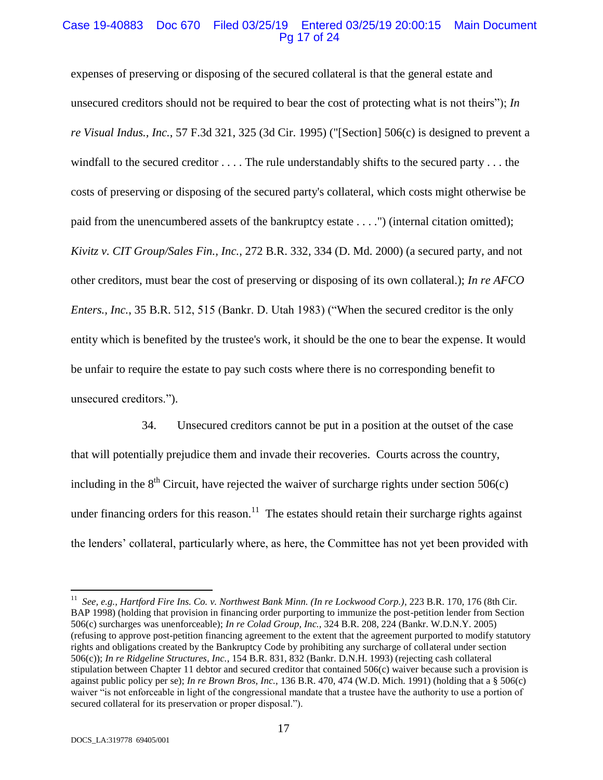# Case 19-40883 Doc 670 Filed 03/25/19 Entered 03/25/19 20:00:15 Main Document Pg 17 of 24

expenses of preserving or disposing of the secured collateral is that the general estate and unsecured creditors should not be required to bear the cost of protecting what is not theirs"); *In re Visual Indus., Inc.*, 57 F.3d 321, 325 (3d Cir. 1995) ("[Section] 506(c) is designed to prevent a windfall to the secured creditor . . . . The rule understandably shifts to the secured party . . . the costs of preserving or disposing of the secured party's collateral, which costs might otherwise be paid from the unencumbered assets of the bankruptcy estate . . . .") (internal citation omitted); *Kivitz v. CIT Group/Sales Fin., Inc.*, 272 B.R. 332, 334 (D. Md. 2000) (a secured party, and not other creditors, must bear the cost of preserving or disposing of its own collateral.); *In re AFCO Enters., Inc.*, 35 B.R. 512, 515 (Bankr. D. Utah 1983) ("When the secured creditor is the only entity which is benefited by the trustee's work, it should be the one to bear the expense. It would be unfair to require the estate to pay such costs where there is no corresponding benefit to unsecured creditors.").

34. Unsecured creditors cannot be put in a position at the outset of the case that will potentially prejudice them and invade their recoveries. Courts across the country, including in the  $8<sup>th</sup>$  Circuit, have rejected the waiver of surcharge rights under section 506(c) under financing orders for this reason.<sup>11</sup> The estates should retain their surcharge rights against the lenders' collateral, particularly where, as here, the Committee has not yet been provided with

 $\overline{a}$ 

<sup>11</sup> *See, e.g., Hartford Fire Ins. Co. v. Northwest Bank Minn. (In re Lockwood Corp.)*, 223 B.R. 170, 176 (8th Cir. BAP 1998) (holding that provision in financing order purporting to immunize the post-petition lender from Section 506(c) surcharges was unenforceable); *In re Colad Group, Inc.*, 324 B.R. 208, 224 (Bankr. W.D.N.Y. 2005) (refusing to approve post-petition financing agreement to the extent that the agreement purported to modify statutory rights and obligations created by the Bankruptcy Code by prohibiting any surcharge of collateral under section 506(c)); *In re Ridgeline Structures, Inc.*, 154 B.R. 831, 832 (Bankr. D.N.H. 1993) (rejecting cash collateral stipulation between Chapter 11 debtor and secured creditor that contained 506(c) waiver because such a provision is against public policy per se); *In re Brown Bros, Inc.,* 136 B.R. 470, 474 (W.D. Mich. 1991) (holding that a § 506(c) waiver "is not enforceable in light of the congressional mandate that a trustee have the authority to use a portion of secured collateral for its preservation or proper disposal.").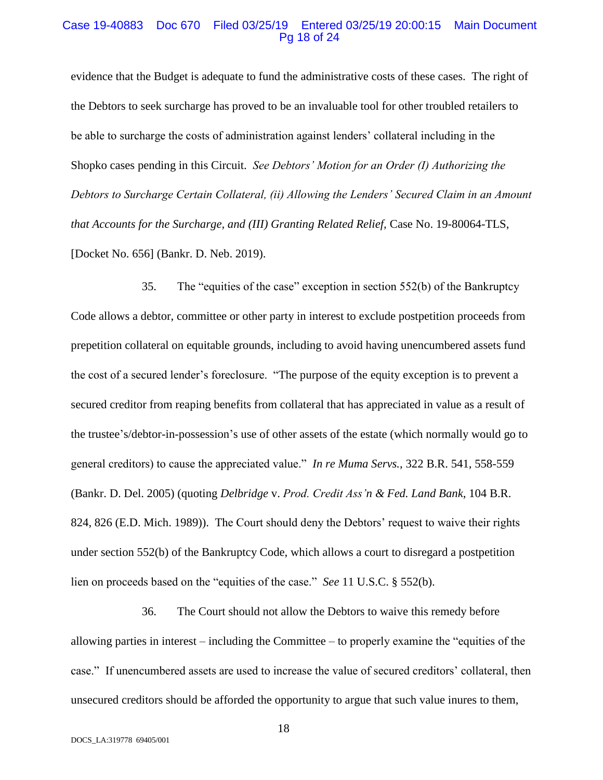#### Case 19-40883 Doc 670 Filed 03/25/19 Entered 03/25/19 20:00:15 Main Document Pg 18 of 24

evidence that the Budget is adequate to fund the administrative costs of these cases. The right of the Debtors to seek surcharge has proved to be an invaluable tool for other troubled retailers to be able to surcharge the costs of administration against lenders' collateral including in the Shopko cases pending in this Circuit. *See Debtors' Motion for an Order (I) Authorizing the Debtors to Surcharge Certain Collateral, (ii) Allowing the Lenders' Secured Claim in an Amount that Accounts for the Surcharge, and (III) Granting Related Relief,* Case No. 19-80064-TLS, [Docket No. 656] (Bankr. D. Neb. 2019).

35. The "equities of the case" exception in section 552(b) of the Bankruptcy Code allows a debtor, committee or other party in interest to exclude postpetition proceeds from prepetition collateral on equitable grounds, including to avoid having unencumbered assets fund the cost of a secured lender's foreclosure. "The purpose of the equity exception is to prevent a secured creditor from reaping benefits from collateral that has appreciated in value as a result of the trustee's/debtor-in-possession's use of other assets of the estate (which normally would go to general creditors) to cause the appreciated value." *In re Muma Servs.*, 322 B.R. 541, 558-559 (Bankr. D. Del. 2005) (quoting *Delbridge* v. *Prod. Credit Ass'n & Fed. Land Bank*, 104 B.R. 824, 826 (E.D. Mich. 1989)). The Court should deny the Debtors' request to waive their rights under section 552(b) of the Bankruptcy Code, which allows a court to disregard a postpetition lien on proceeds based on the "equities of the case." *See* 11 U.S.C. § 552(b).

36. The Court should not allow the Debtors to waive this remedy before allowing parties in interest – including the Committee – to properly examine the "equities of the case." If unencumbered assets are used to increase the value of secured creditors' collateral, then unsecured creditors should be afforded the opportunity to argue that such value inures to them,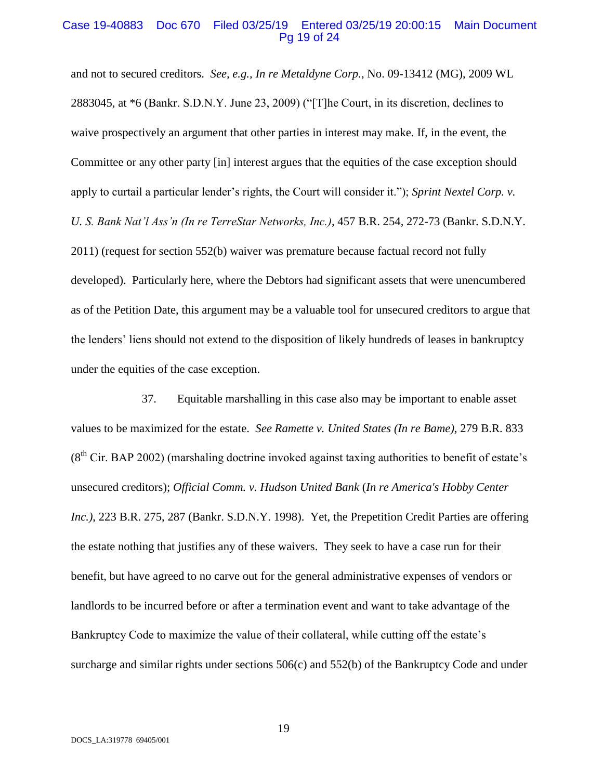#### Case 19-40883 Doc 670 Filed 03/25/19 Entered 03/25/19 20:00:15 Main Document Pg 19 of 24

and not to secured creditors. *See, e.g., In re Metaldyne Corp.*, No. 09-13412 (MG), 2009 WL 2883045, at \*6 (Bankr. S.D.N.Y. June 23, 2009) ("[T]he Court, in its discretion, declines to waive prospectively an argument that other parties in interest may make. If, in the event, the Committee or any other party [in] interest argues that the equities of the case exception should apply to curtail a particular lender's rights, the Court will consider it."); *Sprint Nextel Corp. v. U. S. Bank Nat'l Ass'n (In re TerreStar Networks, Inc.)*, 457 B.R. 254, 272-73 (Bankr. S.D.N.Y. 2011) (request for section 552(b) waiver was premature because factual record not fully developed). Particularly here, where the Debtors had significant assets that were unencumbered as of the Petition Date, this argument may be a valuable tool for unsecured creditors to argue that the lenders' liens should not extend to the disposition of likely hundreds of leases in bankruptcy under the equities of the case exception.

37. Equitable marshalling in this case also may be important to enable asset values to be maximized for the estate. *See Ramette v. United States (In re Bame)*, 279 B.R. 833 (8<sup>th</sup> Cir. BAP 2002) (marshaling doctrine invoked against taxing authorities to benefit of estate's unsecured creditors); *Official Comm. v. Hudson United Bank* (*In re America's Hobby Center Inc.)*, 223 B.R. 275, 287 (Bankr. S.D.N.Y. 1998). Yet, the Prepetition Credit Parties are offering the estate nothing that justifies any of these waivers. They seek to have a case run for their benefit, but have agreed to no carve out for the general administrative expenses of vendors or landlords to be incurred before or after a termination event and want to take advantage of the Bankruptcy Code to maximize the value of their collateral, while cutting off the estate's surcharge and similar rights under sections 506(c) and 552(b) of the Bankruptcy Code and under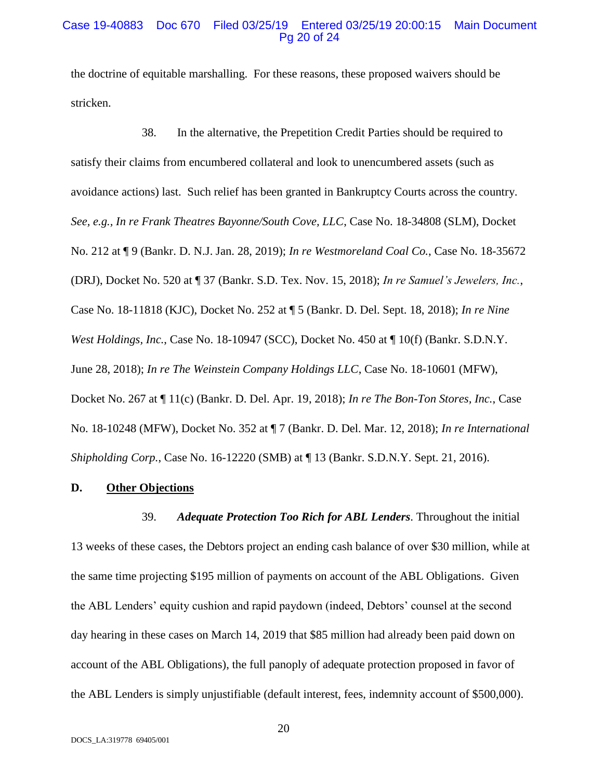#### Case 19-40883 Doc 670 Filed 03/25/19 Entered 03/25/19 20:00:15 Main Document Pg 20 of 24

the doctrine of equitable marshalling. For these reasons, these proposed waivers should be stricken.

38. In the alternative, the Prepetition Credit Parties should be required to satisfy their claims from encumbered collateral and look to unencumbered assets (such as avoidance actions) last. Such relief has been granted in Bankruptcy Courts across the country. *See, e.g., In re Frank Theatres Bayonne/South Cove, LLC*, Case No. 18-34808 (SLM), Docket No. 212 at ¶ 9 (Bankr. D. N.J. Jan. 28, 2019); *In re Westmoreland Coal Co.*, Case No. 18-35672 (DRJ), Docket No. 520 at ¶ 37 (Bankr. S.D. Tex. Nov. 15, 2018); *In re Samuel's Jewelers, Inc.*, Case No. 18-11818 (KJC), Docket No. 252 at ¶ 5 (Bankr. D. Del. Sept. 18, 2018); *In re Nine West Holdings, Inc.*, Case No. 18-10947 (SCC), Docket No. 450 at ¶ 10(f) (Bankr. S.D.N.Y. June 28, 2018); *In re The Weinstein Company Holdings LLC*, Case No. 18-10601 (MFW), Docket No. 267 at ¶ 11(c) (Bankr. D. Del. Apr. 19, 2018); *In re The Bon-Ton Stores, Inc.*, Case No. 18-10248 (MFW), Docket No. 352 at ¶ 7 (Bankr. D. Del. Mar. 12, 2018); *In re International Shipholding Corp.*, Case No. 16-12220 (SMB) at ¶ 13 (Bankr. S.D.N.Y. Sept. 21, 2016).

# **D. Other Objections**

39. *Adequate Protection Too Rich for ABL Lenders*. Throughout the initial 13 weeks of these cases, the Debtors project an ending cash balance of over \$30 million, while at the same time projecting \$195 million of payments on account of the ABL Obligations. Given the ABL Lenders' equity cushion and rapid paydown (indeed, Debtors' counsel at the second day hearing in these cases on March 14, 2019 that \$85 million had already been paid down on account of the ABL Obligations), the full panoply of adequate protection proposed in favor of the ABL Lenders is simply unjustifiable (default interest, fees, indemnity account of \$500,000).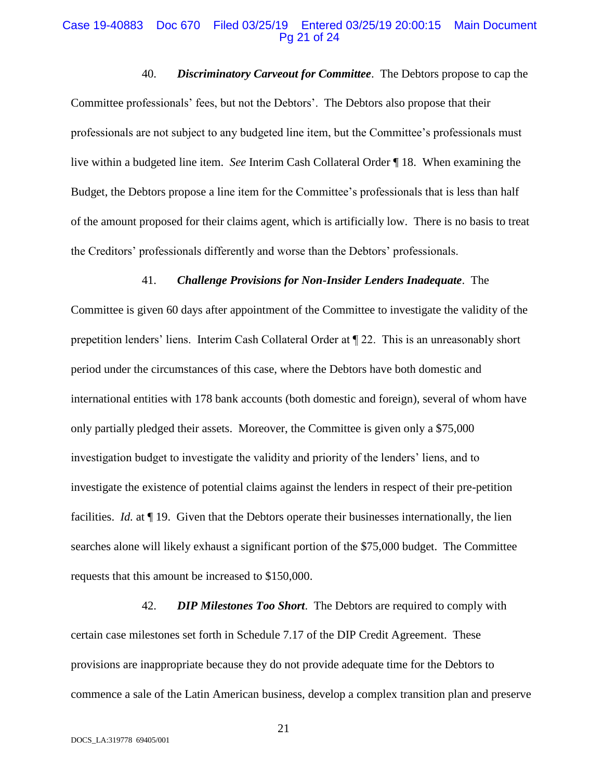#### Case 19-40883 Doc 670 Filed 03/25/19 Entered 03/25/19 20:00:15 Main Document Pg 21 of 24

40. *Discriminatory Carveout for Committee*. The Debtors propose to cap the Committee professionals' fees, but not the Debtors'. The Debtors also propose that their professionals are not subject to any budgeted line item, but the Committee's professionals must live within a budgeted line item. *See* Interim Cash Collateral Order ¶ 18. When examining the Budget, the Debtors propose a line item for the Committee's professionals that is less than half of the amount proposed for their claims agent, which is artificially low. There is no basis to treat the Creditors' professionals differently and worse than the Debtors' professionals.

#### 41. *Challenge Provisions for Non-Insider Lenders Inadequate*. The

Committee is given 60 days after appointment of the Committee to investigate the validity of the prepetition lenders' liens. Interim Cash Collateral Order at ¶ 22. This is an unreasonably short period under the circumstances of this case, where the Debtors have both domestic and international entities with 178 bank accounts (both domestic and foreign), several of whom have only partially pledged their assets. Moreover, the Committee is given only a \$75,000 investigation budget to investigate the validity and priority of the lenders' liens, and to investigate the existence of potential claims against the lenders in respect of their pre-petition facilities. *Id.* at ¶ 19. Given that the Debtors operate their businesses internationally, the lien searches alone will likely exhaust a significant portion of the \$75,000 budget. The Committee requests that this amount be increased to \$150,000.

42. *DIP Milestones Too Short*. The Debtors are required to comply with certain case milestones set forth in Schedule 7.17 of the DIP Credit Agreement. These provisions are inappropriate because they do not provide adequate time for the Debtors to commence a sale of the Latin American business, develop a complex transition plan and preserve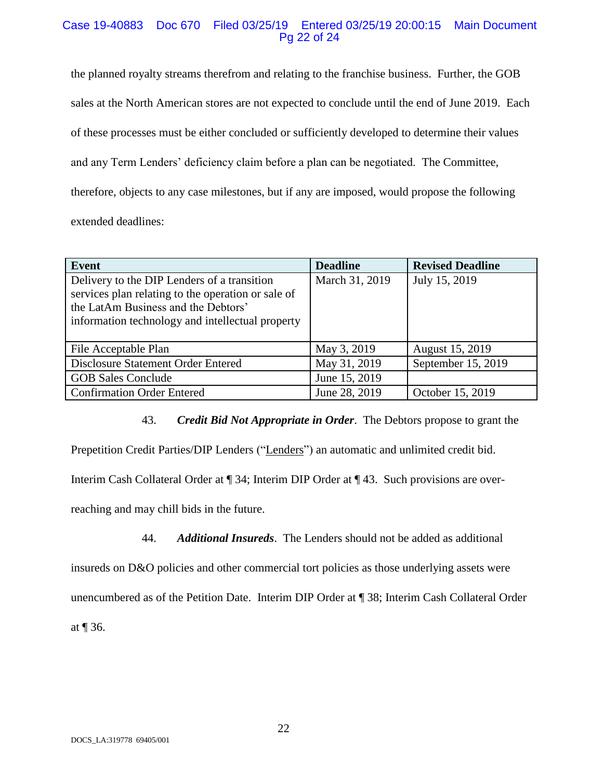# Case 19-40883 Doc 670 Filed 03/25/19 Entered 03/25/19 20:00:15 Main Document Pg 22 of 24

the planned royalty streams therefrom and relating to the franchise business. Further, the GOB sales at the North American stores are not expected to conclude until the end of June 2019. Each of these processes must be either concluded or sufficiently developed to determine their values and any Term Lenders' deficiency claim before a plan can be negotiated. The Committee, therefore, objects to any case milestones, but if any are imposed, would propose the following extended deadlines:

| <b>Event</b>                                       | <b>Deadline</b> | <b>Revised Deadline</b> |
|----------------------------------------------------|-----------------|-------------------------|
| Delivery to the DIP Lenders of a transition        | March 31, 2019  | July 15, 2019           |
| services plan relating to the operation or sale of |                 |                         |
| the LatAm Business and the Debtors'                |                 |                         |
| information technology and intellectual property   |                 |                         |
|                                                    |                 |                         |
| File Acceptable Plan                               | May 3, 2019     | August 15, 2019         |
| Disclosure Statement Order Entered                 | May 31, 2019    | September 15, 2019      |
| <b>GOB Sales Conclude</b>                          | June 15, 2019   |                         |
| <b>Confirmation Order Entered</b>                  | June 28, 2019   | October 15, 2019        |

43. *Credit Bid Not Appropriate in Order*. The Debtors propose to grant the

Prepetition Credit Parties/DIP Lenders ("Lenders") an automatic and unlimited credit bid.

Interim Cash Collateral Order at ¶ 34; Interim DIP Order at ¶ 43. Such provisions are over-

reaching and may chill bids in the future.

44. *Additional Insureds*. The Lenders should not be added as additional

insureds on D&O policies and other commercial tort policies as those underlying assets were unencumbered as of the Petition Date. Interim DIP Order at ¶ 38; Interim Cash Collateral Order at ¶ 36.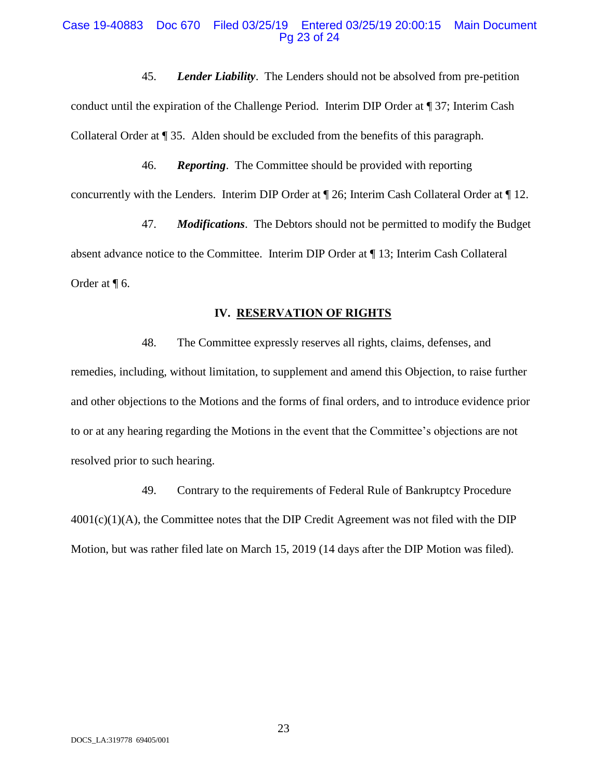#### Case 19-40883 Doc 670 Filed 03/25/19 Entered 03/25/19 20:00:15 Main Document Pg 23 of 24

45. *Lender Liability*. The Lenders should not be absolved from pre-petition conduct until the expiration of the Challenge Period. Interim DIP Order at ¶ 37; Interim Cash Collateral Order at ¶ 35. Alden should be excluded from the benefits of this paragraph.

46. *Reporting*. The Committee should be provided with reporting concurrently with the Lenders. Interim DIP Order at ¶ 26; Interim Cash Collateral Order at ¶ 12.

47. *Modifications*. The Debtors should not be permitted to modify the Budget absent advance notice to the Committee. Interim DIP Order at ¶ 13; Interim Cash Collateral Order at ¶ 6.

### **IV. RESERVATION OF RIGHTS**

48. The Committee expressly reserves all rights, claims, defenses, and remedies, including, without limitation, to supplement and amend this Objection, to raise further and other objections to the Motions and the forms of final orders, and to introduce evidence prior to or at any hearing regarding the Motions in the event that the Committee's objections are not resolved prior to such hearing.

49. Contrary to the requirements of Federal Rule of Bankruptcy Procedure  $4001(c)(1)(A)$ , the Committee notes that the DIP Credit Agreement was not filed with the DIP Motion, but was rather filed late on March 15, 2019 (14 days after the DIP Motion was filed).